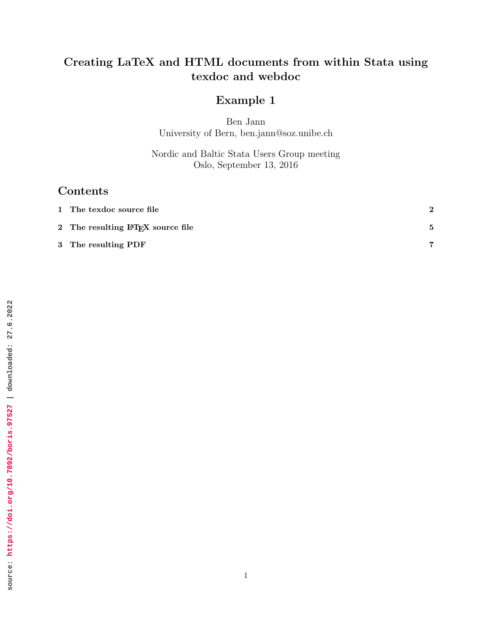## Creating LaTeX and HTML documents from within Stata using texdoc and webdoc

## Example 1

Ben Jann University of Bern, ben.jann@soz.unibe.ch

Nordic and Baltic Stata Users Group meeting Oslo, September 13, 2016

## Contents

| 1 The texdoc source file                       |  |
|------------------------------------------------|--|
| 2 The resulting LAT <sub>F</sub> X source file |  |
| 3 The resulting PDF                            |  |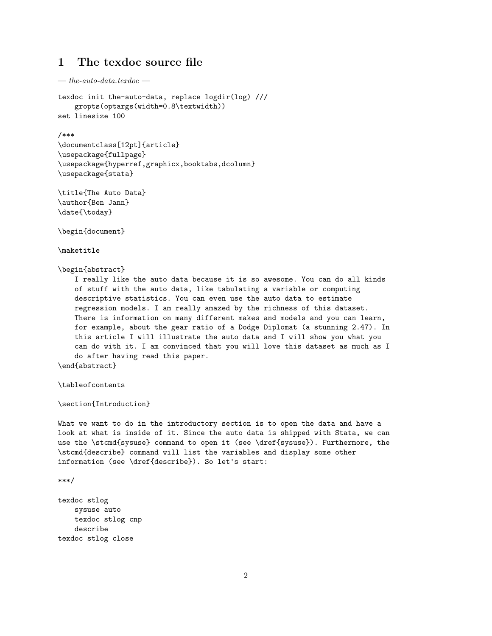### <span id="page-1-0"></span>1 The texdoc source file

— *the-auto-data.texdoc* —

```
texdoc init the-auto-data, replace logdir(log) ///
   gropts(optargs(width=0.8\textwidth))
set linesize 100
```
#### /\*\*\*

```
\documentclass[12pt]{article}
\usepackage{fullpage}
\usepackage{hyperref,graphicx,booktabs,dcolumn}
\usepackage{stata}
```
\title{The Auto Data} \author{Ben Jann} \date{\today}

\begin{document}

\maketitle

\begin{abstract}

I really like the auto data because it is so awesome. You can do all kinds of stuff with the auto data, like tabulating a variable or computing descriptive statistics. You can even use the auto data to estimate regression models. I am really amazed by the richness of this dataset. There is information on many different makes and models and you can learn, for example, about the gear ratio of a Dodge Diplomat (a stunning 2.47). In this article I will illustrate the auto data and I will show you what you can do with it. I am convinced that you will love this dataset as much as I do after having read this paper.

\end{abstract}

\tableofcontents

\section{Introduction}

What we want to do in the introductory section is to open the data and have a look at what is inside of it. Since the auto data is shipped with Stata, we can use the \stcmd{sysuse} command to open it (see \dref{sysuse}). Furthermore, the \stcmd{describe} command will list the variables and display some other information (see \dref{describe}). So let's start:

```
***/
```
texdoc stlog sysuse auto texdoc stlog cnp describe texdoc stlog close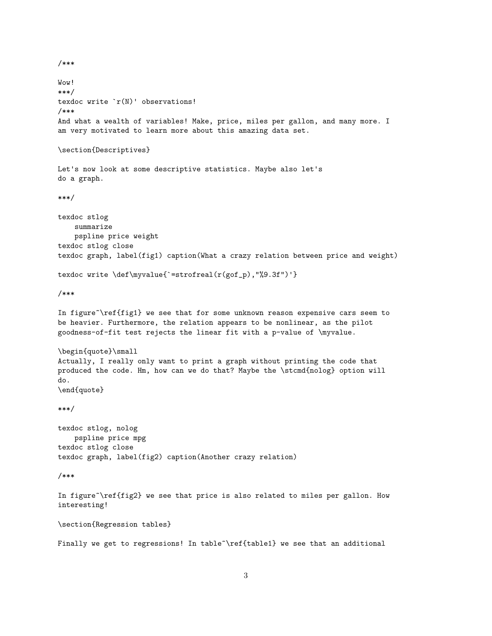```
/***
```
Wow! \*\*\*/ texdoc write `r(N)' observations! /\*\*\* And what a wealth of variables! Make, price, miles per gallon, and many more. I am very motivated to learn more about this amazing data set. \section{Descriptives} Let's now look at some descriptive statistics. Maybe also let's do a graph. \*\*\*/ texdoc stlog summarize pspline price weight texdoc stlog close texdoc graph, label(fig1) caption(What a crazy relation between price and weight) texdoc write \def\myvalue{`=strofreal(r(gof\_p),"%9.3f")'} /\*\*\* In figure~\ref{fig1} we see that for some unknown reason expensive cars seem to be heavier. Furthermore, the relation appears to be nonlinear, as the pilot goodness-of-fit test rejects the linear fit with a p-value of \myvalue. \begin{quote}\small Actually, I really only want to print a graph without printing the code that produced the code. Hm, how can we do that? Maybe the \stcmd{nolog} option will do. \end{quote} \*\*\*/ texdoc stlog, nolog pspline price mpg texdoc stlog close texdoc graph, label(fig2) caption(Another crazy relation) /\*\*\* In figure~\ref{fig2} we see that price is also related to miles per gallon. How interesting! \section{Regression tables}

Finally we get to regressions! In table~\ref{table1} we see that an additional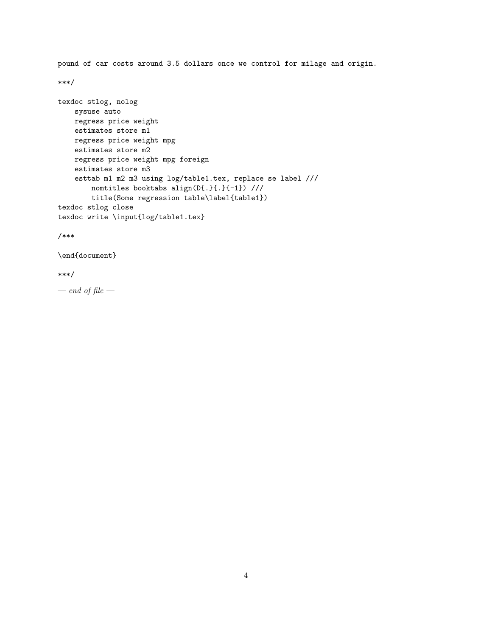pound of car costs around 3.5 dollars once we control for milage and origin. \*\*\*/ texdoc stlog, nolog sysuse auto regress price weight estimates store m1 regress price weight mpg estimates store m2 regress price weight mpg foreign estimates store m3 esttab m1 m2 m3 using log/table1.tex, replace se label /// nomtitles booktabs align(D{.}{.}{-1}) /// title(Some regression table\label{table1}) texdoc stlog close texdoc write \input{log/table1.tex}

/\*\*\*

\end{document}

#### \*\*\*/

— *end of file* —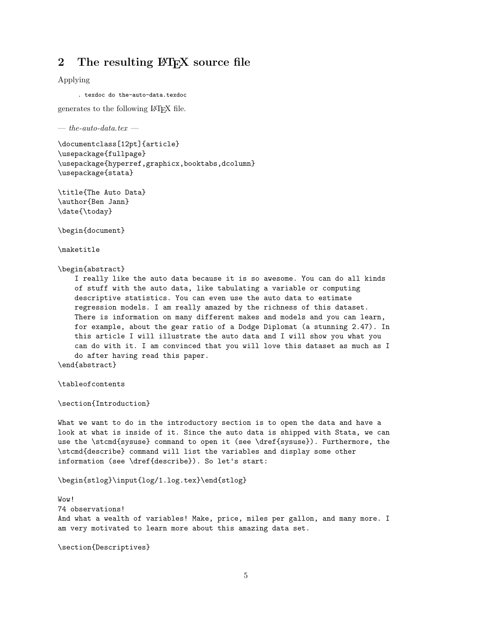### <span id="page-4-0"></span>2 The resulting LAT<sub>EX</sub> source file

Applying

. texdoc do the-auto-data.texdoc

generates to the following LATEX file.

— *the-auto-data.tex* —

\documentclass[12pt]{article} \usepackage{fullpage} \usepackage{hyperref,graphicx,booktabs,dcolumn} \usepackage{stata}

\title{The Auto Data} \author{Ben Jann} \date{\today}

\begin{document}

\maketitle

\begin{abstract}

I really like the auto data because it is so awesome. You can do all kinds of stuff with the auto data, like tabulating a variable or computing descriptive statistics. You can even use the auto data to estimate regression models. I am really amazed by the richness of this dataset. There is information on many different makes and models and you can learn, for example, about the gear ratio of a Dodge Diplomat (a stunning 2.47). In this article I will illustrate the auto data and I will show you what you can do with it. I am convinced that you will love this dataset as much as I do after having read this paper.

\end{abstract}

\tableofcontents

\section{Introduction}

What we want to do in the introductory section is to open the data and have a look at what is inside of it. Since the auto data is shipped with Stata, we can use the \stcmd{sysuse} command to open it (see \dref{sysuse}). Furthermore, the \stcmd{describe} command will list the variables and display some other information (see \dref{describe}). So let's start:

\begin{stlog}\input{log/1.log.tex}\end{stlog}

 $W<sub>0</sub>$ 74 observations! And what a wealth of variables! Make, price, miles per gallon, and many more. I am very motivated to learn more about this amazing data set.

\section{Descriptives}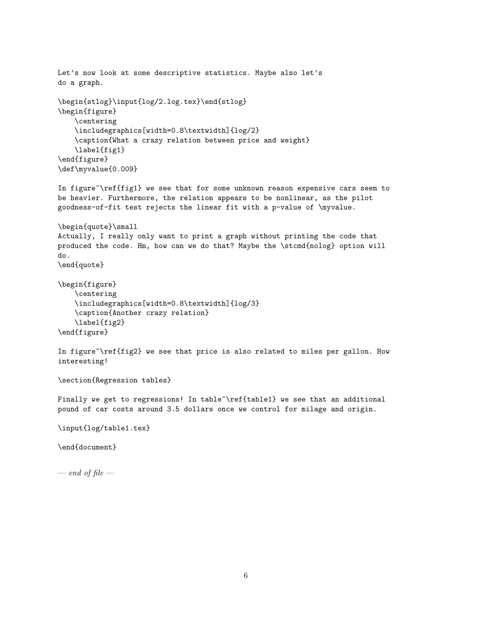```
Let's now look at some descriptive statistics. Maybe also let's
do a graph.
\begin{stlog}\input{log/2.log.tex}\end{stlog}
\begin{figure}
   \centering
   \includegraphics[width=0.8\textwidth]{log/2}
   \caption{What a crazy relation between price and weight}
   \label{fig1}
\end{figure}
\def\myvalue{0.009}
In figure~\ref{fig1} we see that for some unknown reason expensive cars seem to
be heavier. Furthermore, the relation appears to be nonlinear, as the pilot
goodness-of-fit test rejects the linear fit with a p-value of \myvalue.
\begin{quote}\small
Actually, I really only want to print a graph without printing the code that
produced the code. Hm, how can we do that? Maybe the \stcmd{nolog} option will
do.
\end{quote}
\begin{figure}
   \centering
   \includegraphics[width=0.8\textwidth]{log/3}
   \caption{Another crazy relation}
   \label{fig2}
\end{figure}
In figure~\ref{fig2} we see that price is also related to miles per gallon. How
interesting!
\section{Regression tables}
Finally we get to regressions! In table~\ref{table1} we see that an additional
pound of car costs around 3.5 dollars once we control for milage and origin.
```
\input{log/table1.tex}

\end{document}

— *end of file* —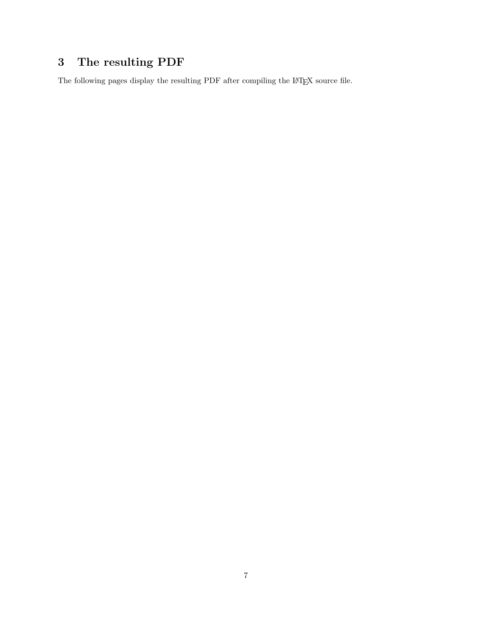# <span id="page-6-0"></span>3 The resulting PDF

The following pages display the resulting  ${\rm PDF}$  after compiling the  ${\rm L}\!{\rm T}\!{\rm E}\!{\rm X}$  source file.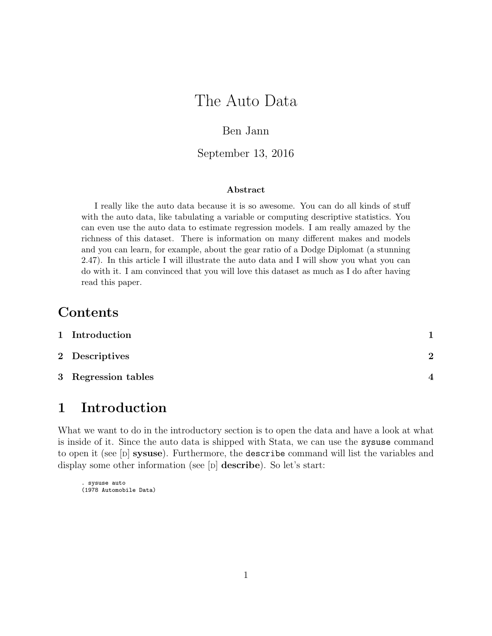# The Auto Data

### Ben Jann

### September 13, 2016

#### Abstract

I really like the auto data because it is so awesome. You can do all kinds of stuff with the auto data, like tabulating a variable or computing descriptive statistics. You can even use the auto data to estimate regression models. I am really amazed by the richness of this dataset. There is information on many different makes and models and you can learn, for example, about the gear ratio of a Dodge Diplomat (a stunning 2.47). In this article I will illustrate the auto data and I will show you what you can do with it. I am convinced that you will love this dataset as much as I do after having read this paper.

## Contents

| 1 Introduction      |          |
|---------------------|----------|
| 2 Descriptives      | $\Omega$ |
| 3 Regression tables |          |

# 1 Introduction

What we want to do in the introductory section is to open the data and have a look at what is inside of it. Since the auto data is shipped with Stata, we can use the sysuse command to open it (see [p] sysuse). Furthermore, the describe command will list the variables and display some other information (see [p] **describe**). So let's start:

```
. sysuse auto
(1978 Automobile Data)
```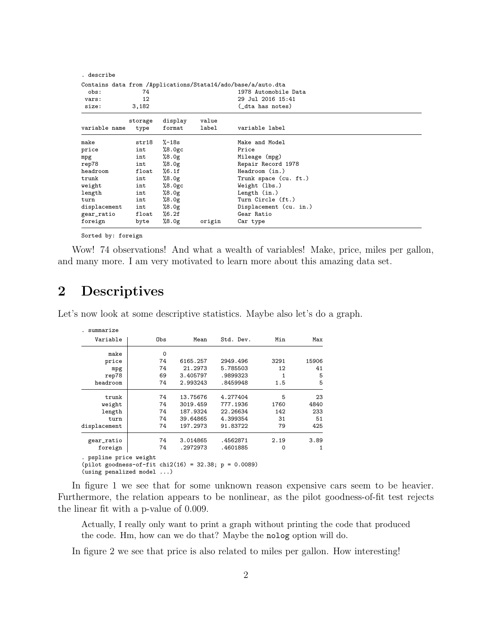| . describe    |         |         |                      |                                                              |  |
|---------------|---------|---------|----------------------|--------------------------------------------------------------|--|
|               |         |         |                      | Contains data from /Applications/Stata14/ado/base/a/auto.dta |  |
| 74<br>obs:    |         |         | 1978 Automobile Data |                                                              |  |
| vars:         | 12      |         |                      | 29 Jul 2016 15:41                                            |  |
| size:         | 3,182   |         |                      | (_dta has notes)                                             |  |
|               | storage | display | value                |                                                              |  |
| variable name | type    | format  | label                | variable label                                               |  |
| make          | str18   | %−18s   |                      | Make and Model                                               |  |
| price         | int     | %8.0gc  |                      | Price                                                        |  |
| mpg           | int     | %8.0g   |                      | Mileage (mpg)                                                |  |
| rep78         | int     | %8.0g   |                      | Repair Record 1978                                           |  |
| headroom      | float   | %6.1f   |                      | Headroom (in.)                                               |  |
| trunk         | int     | %8.0g   |                      | Trunk space (cu. ft.)                                        |  |
| weight        | int     | %8.0gc  |                      | Weight (lbs.)                                                |  |
| length        | int     | %8.0g   |                      | Length $(in.)$                                               |  |
| turn          | int     | %8.0g   |                      | Turn Circle (ft.)                                            |  |
| displacement  | int     | %8.0g   |                      | Displacement (cu. in.)                                       |  |
| gear_ratio    | float   | %6.2f   |                      | Gear Ratio                                                   |  |
| foreign       | byte    | %8.0g   | origin               | Car type                                                     |  |

Sorted by: foreign

Wow! 74 observations! And what a wealth of variables! Make, price, miles per gallon, and many more. I am very motivated to learn more about this amazing data set.

## 2 Descriptives

Let's now look at some descriptive statistics. Maybe also let's do a graph.

| . summarize                                                                                                  |     |          |           |      |       |
|--------------------------------------------------------------------------------------------------------------|-----|----------|-----------|------|-------|
| Variable                                                                                                     | Obs | Mean     | Std. Dev. | Min  | Max   |
| make                                                                                                         | 0   |          |           |      |       |
| price                                                                                                        | 74  | 6165.257 | 2949.496  | 3291 | 15906 |
| mpg                                                                                                          | 74  | 21.2973  | 5.785503  | 12   | 41    |
| rep78                                                                                                        | 69  | 3.405797 | .9899323  | 1    | 5     |
| headroom                                                                                                     | 74  | 2.993243 | .8459948  | 1.5  | 5     |
| trunk                                                                                                        | 74  | 13.75676 | 4.277404  | 5    | 23    |
| weight                                                                                                       | 74  | 3019.459 | 777.1936  | 1760 | 4840  |
| length                                                                                                       | 74  | 187.9324 | 22.26634  | 142  | 233   |
| turn                                                                                                         | 74  | 39.64865 | 4.399354  | 31   | 51    |
| displacement                                                                                                 | 74  | 197.2973 | 91.83722  | 79   | 425   |
| gear_ratio                                                                                                   | 74  | 3.014865 | .4562871  | 2.19 | 3.89  |
| foreign                                                                                                      | 74  | .2972973 | .4601885  | 0    | 1     |
| . pspline price weight<br>$(pilot goodness-of-fit chi2(16) = 32.38; p = 0.0089)$<br>(using penalized model ) |     |          |           |      |       |

In figure 1 we see that for some unknown reason expensive cars seem to be heavier. Furthermore, the relation appears to be nonlinear, as the pilot goodness-of-fit test rejects the linear fit with a p-value of 0.009.

Actually, I really only want to print a graph without printing the code that produced the code. Hm, how can we do that? Maybe the nolog option will do.

In figure 2 we see that price is also related to miles per gallon. How interesting!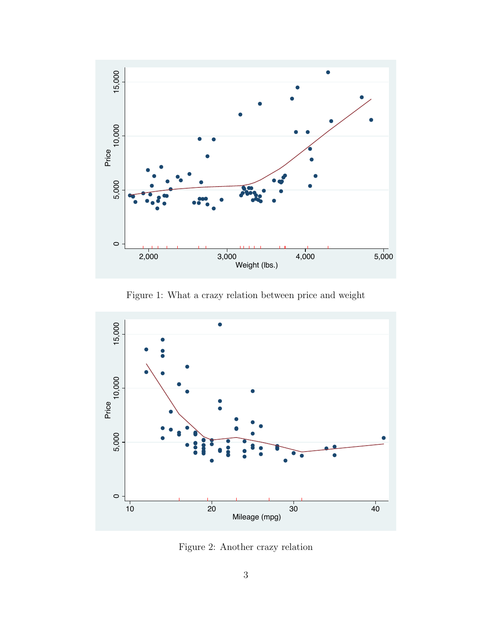

Figure 1: What a crazy relation between price and weight



Figure 2: Another crazy relation